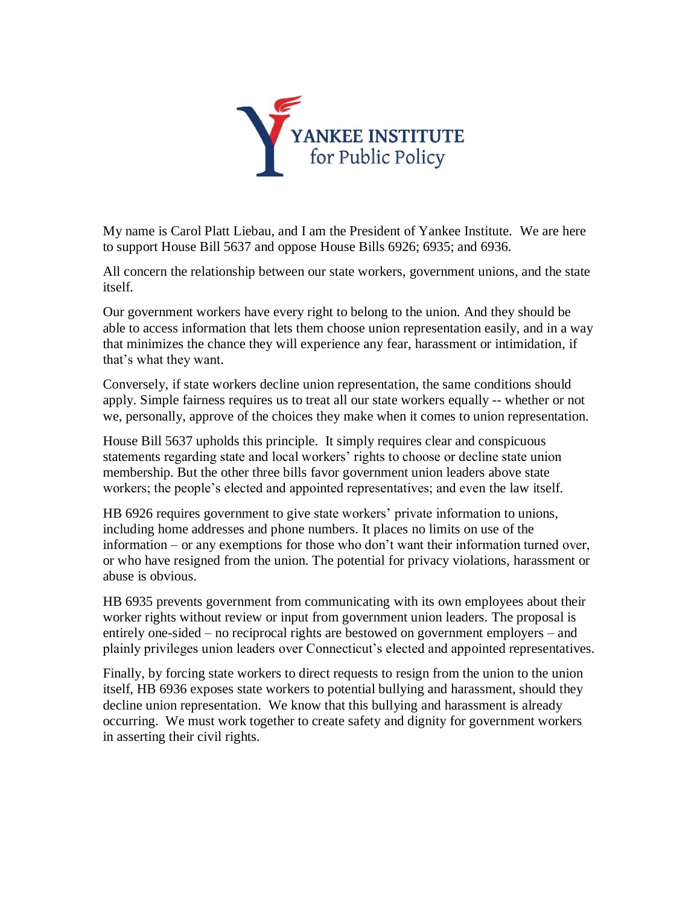

My name is Carol Platt Liebau, and I am the President of Yankee Institute. We are here to support House Bill 5637 and oppose House Bills 6926; 6935; and 6936.

All concern the relationship between our state workers, government unions, and the state itself.

Our government workers have every right to belong to the union. And they should be able to access information that lets them choose union representation easily, and in a way that minimizes the chance they will experience any fear, harassment or intimidation, if that's what they want.

Conversely, if state workers decline union representation, the same conditions should apply. Simple fairness requires us to treat all our state workers equally -- whether or not we, personally, approve of the choices they make when it comes to union representation.

House Bill 5637 upholds this principle. It simply requires clear and conspicuous statements regarding state and local workers' rights to choose or decline state union membership. But the other three bills favor government union leaders above state workers; the people's elected and appointed representatives; and even the law itself.

HB 6926 requires government to give state workers' private information to unions, including home addresses and phone numbers. It places no limits on use of the information – or any exemptions for those who don't want their information turned over, or who have resigned from the union. The potential for privacy violations, harassment or abuse is obvious.

HB 6935 prevents government from communicating with its own employees about their worker rights without review or input from government union leaders. The proposal is entirely one-sided – no reciprocal rights are bestowed on government employers – and plainly privileges union leaders over Connecticut's elected and appointed representatives.

Finally, by forcing state workers to direct requests to resign from the union to the union itself, HB 6936 exposes state workers to potential bullying and harassment, should they decline union representation. We know that this bullying and harassment is already occurring. We must work together to create safety and dignity for government workers in asserting their civil rights.